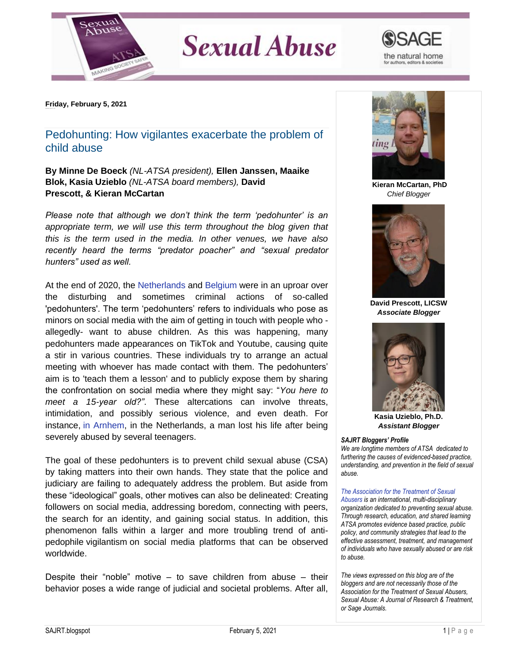

## **Sexual Abuse**



**Friday, February 5, 2021**

## Pedohunting: How vigilantes exacerbate the problem of child abuse

**By Minne De Boeck** *(NL-ATSA president),* **Ellen Janssen, Maaike Blok, Kasia Uzieblo** *(NL-ATSA board members),* **David Prescott, & Kieran McCartan**

*Please note that although we don't think the term 'pedohunter' is an appropriate term, we will use this term throughout the blog given that this is the term used in the media. In other venues, we have also recently heard the terms "predator poacher" and "sexual predator hunters" used as well.*

At the end of 2020, the [Netherlands](https://www.trouw.nl/verdieping/hoe-is-het-om-pedofiele-gevoelens-te-hebben-in-tijden-van-pedojagers-en-complottheorieen~bbe4a9ed/) and [Belgium](https://ufc.be/nieuws/252-opinie-pedojagen) were in an uproar over the disturbing and sometimes criminal actions of so-called 'pedohunters'. The term 'pedohunters' refers to individuals who pose as minors on social media with the aim of getting in touch with people who allegedly- want to abuse children. As this was happening, many pedohunters made appearances on TikTok and Youtube, causing quite a stir in various countries. These individuals try to arrange an actual meeting with whoever has made contact with them. The pedohunters' aim is to 'teach them a lesson' and to publicly expose them by sharing the confrontation on social media where they might say: "*You here to meet a 15-year old?"*. These altercations can involve threats, intimidation, and possibly serious violence, and even death. For instance, [in Arnhem,](https://nos.nl/artikel/2356312-om-dood-arnhemmer-gevolg-van-pedojacht.html) in the Netherlands, a man lost his life after being severely abused by several teenagers.

The goal of these pedohunters is to prevent child sexual abuse (CSA) by taking matters into their own hands. They state that the police and judiciary are failing to adequately address the problem. But aside from these "ideological" goals, other motives can also be delineated: Creating followers on social media, addressing boredom, connecting with peers, the search for an identity, and gaining social status. In addition, this phenomenon falls within a larger and more troubling trend of antipedophile vigilantism on social media platforms that can be observed worldwide.

Despite their "noble" motive  $-$  to save children from abuse  $-$  their behavior poses a wide range of judicial and societal problems. After all,



**Kieran McCartan, PhD** *Chief Blogger*



**David Prescott, LICSW** *Associate Blogger*



**Kasia Uzieblo, Ph.D.** *Assistant Blogger*

## *SAJRT Bloggers' Profile*

*We are longtime members of ATSA dedicated to furthering the causes of evidenced-based practice, understanding, and prevention in the field of sexual abuse.*

*[The Association for the Treatment of Sexual](http://atsa.com/)  [Abusers](http://atsa.com/) is an international, multi-disciplinary organization dedicated to preventing sexual abuse. Through research, education, and shared learning ATSA promotes evidence based practice, public policy, and community strategies that lead to the effective assessment, treatment, and management of individuals who have sexually abused or are risk to abuse.* 

*The views expressed on this blog are of the bloggers and are not necessarily those of the Association for the Treatment of Sexual Abusers, Sexual Abuse: A Journal of Research & Treatment, or Sage Journals.*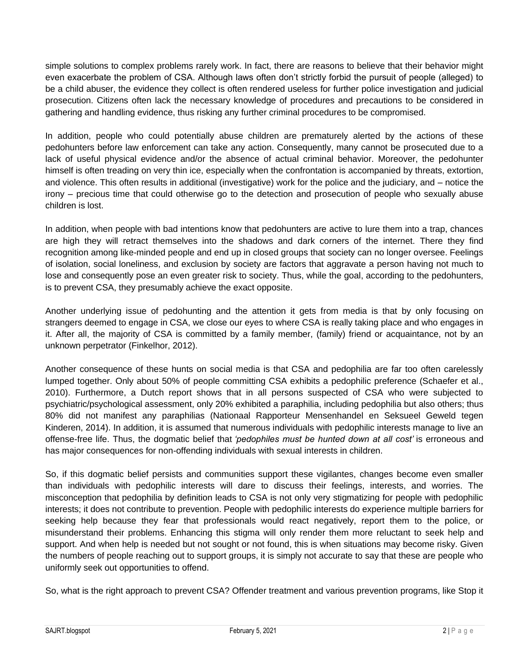simple solutions to complex problems rarely work. In fact, there are reasons to believe that their behavior might even exacerbate the problem of CSA. Although laws often don't strictly forbid the pursuit of people (alleged) to be a child abuser, the evidence they collect is often rendered useless for further police investigation and judicial prosecution. Citizens often lack the necessary knowledge of procedures and precautions to be considered in gathering and handling evidence, thus risking any further criminal procedures to be compromised.

In addition, people who could potentially abuse children are prematurely alerted by the actions of these pedohunters before law enforcement can take any action. Consequently, many cannot be prosecuted due to a lack of useful physical evidence and/or the absence of actual criminal behavior. Moreover, the pedohunter himself is often treading on very thin ice, especially when the confrontation is accompanied by threats, extortion, and violence. This often results in additional (investigative) work for the police and the judiciary, and – notice the irony – precious time that could otherwise go to the detection and prosecution of people who sexually abuse children is lost.

In addition, when people with bad intentions know that pedohunters are active to lure them into a trap, chances are high they will retract themselves into the shadows and dark corners of the internet. There they find recognition among like-minded people and end up in closed groups that society can no longer oversee. Feelings of isolation, social loneliness, and exclusion by society are factors that aggravate a person having not much to lose and consequently pose an even greater risk to society. Thus, while the goal, according to the pedohunters, is to prevent CSA, they presumably achieve the exact opposite.

Another underlying issue of pedohunting and the attention it gets from media is that by only focusing on strangers deemed to engage in CSA, we close our eyes to where CSA is really taking place and who engages in it. After all, the majority of CSA is committed by a family member, (family) friend or acquaintance, not by an unknown perpetrator (Finkelhor, 2012).

Another consequence of these hunts on social media is that CSA and pedophilia are far too often carelessly lumped together. Only about 50% of people committing CSA exhibits a pedophilic preference (Schaefer et al., 2010). Furthermore, a Dutch report shows that in all persons suspected of CSA who were subjected to psychiatric/psychological assessment, only 20% exhibited a paraphilia, including pedophilia but also others; thus 80% did not manifest any paraphilias (Nationaal Rapporteur Mensenhandel en Seksueel Geweld tegen Kinderen, 2014). In addition, it is assumed that numerous individuals with pedophilic interests manage to live an offense-free life. Thus, the dogmatic belief that *'pedophiles must be hunted down at all cost'* is erroneous and has major consequences for non-offending individuals with sexual interests in children.

So, if this dogmatic belief persists and communities support these vigilantes, changes become even smaller than individuals with pedophilic interests will dare to discuss their feelings, interests, and worries. The misconception that pedophilia by definition leads to CSA is not only very stigmatizing for people with pedophilic interests; it does not contribute to prevention. People with pedophilic interests do experience multiple barriers for seeking help because they fear that professionals would react negatively, report them to the police, or misunderstand their problems. Enhancing this stigma will only render them more reluctant to seek help and support. And when help is needed but not sought or not found, this is when situations may become risky. Given the numbers of people reaching out to support groups, it is simply not accurate to say that these are people who uniformly seek out opportunities to offend.

So, what is the right approach to prevent CSA? Offender treatment and various prevention programs, like Stop it